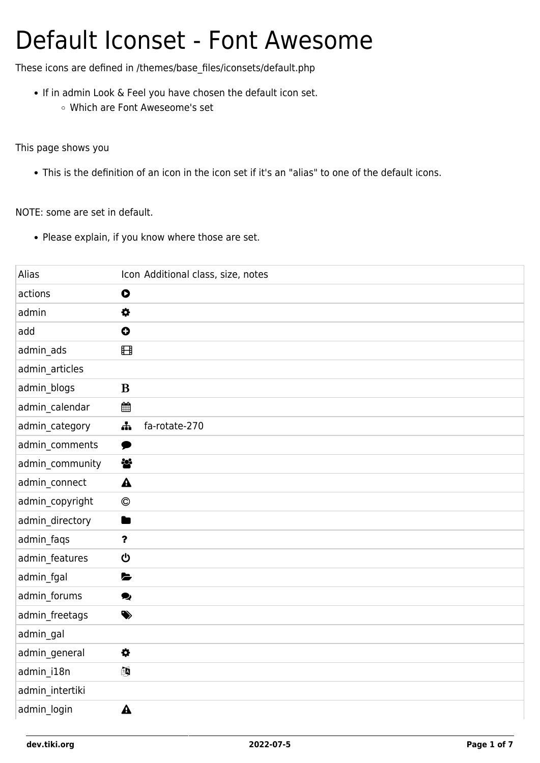## Default Iconset - Font Awesome

These icons are defined in /themes/base\_files/iconsets/default.php

- If in admin Look & Feel you have chosen the default icon set.
	- Which are Font Aweseome's set

This page shows you

This is the definition of an icon in the icon set if it's an "alias" to one of the default icons.

NOTE: some are set in default.

• Please explain, if you know where those are set.

| Alias           | Icon Additional class, size, notes |
|-----------------|------------------------------------|
| actions         | $\bullet$                          |
| admin           | 0                                  |
| add             | $\bullet$                          |
| admin_ads       | ⊞                                  |
| admin_articles  |                                    |
| admin_blogs     | B                                  |
| admin_calendar  | 雦                                  |
| admin_category  | fa-rotate-270<br>유                 |
| admin_comments  | ♥                                  |
| admin_community | 상                                  |
| admin_connect   | $\blacktriangle$                   |
| admin_copyright | $\odot$                            |
| admin_directory | n                                  |
| admin_faqs      | $\boldsymbol{\mathsf{?}}$          |
| admin_features  | ပ                                  |
| admin_fgal      | L                                  |
| admin_forums    | ୭                                  |
| admin_freetags  | ♦                                  |
| admin_gal       |                                    |
| admin_general   | $\bullet$                          |
| admin_i18n      | 國                                  |
| admin_intertiki |                                    |
| admin_login     | $\blacktriangle$                   |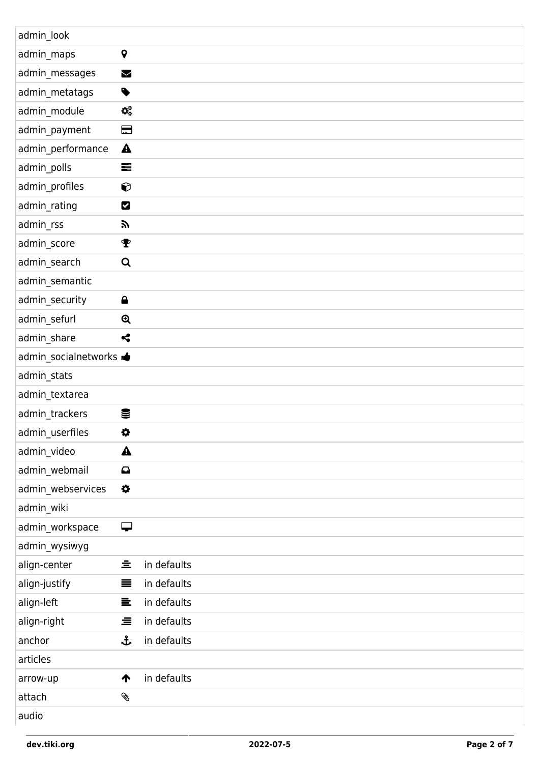| admin_look                      |                       |             |
|---------------------------------|-----------------------|-------------|
| admin_maps                      | $\pmb{\mathsf{Q}}$    |             |
| admin_messages                  | $\blacktriangleright$ |             |
| admin_metatags                  | $\bullet$             |             |
| admin_module                    | $\mathbf{Q}_0^0$      |             |
| admin_payment                   | ⊟                     |             |
| admin_performance               | $\blacktriangle$      |             |
| admin_polls                     | 름                     |             |
| admin_profiles                  | $\bf Q$               |             |
| admin_rating                    | Ø                     |             |
| admin_rss                       | <b>a</b>              |             |
| admin_score                     | т                     |             |
| admin_search                    | Q                     |             |
| admin_semantic                  |                       |             |
| admin_security                  | $\triangle$           |             |
| admin_sefurl                    | $\mathbf{\Theta}$     |             |
| admin_share                     | ⊰                     |             |
| admin_socialnetworks <b>ide</b> |                       |             |
| admin_stats                     |                       |             |
| admin_textarea                  |                       |             |
| admin_trackers                  | 을                     |             |
| admin_userfiles                 | $\bullet$             |             |
| admin_video                     | $\blacktriangle$      |             |
| admin_webmail                   | $\mathbf \Omega$      |             |
| admin_webservices               | $\bullet$             |             |
| admin_wiki                      |                       |             |
| admin_workspace                 | ⋤                     |             |
| admin_wysiwyg                   |                       |             |
| align-center                    | 호                     | in defaults |
| align-justify                   | ≡                     | in defaults |
| align-left                      | 들                     | in defaults |
| align-right                     | 亖                     | in defaults |
| anchor                          | ᡱ                     | in defaults |
| articles                        |                       |             |
| arrow-up                        | ↑                     | in defaults |
| attach                          | Ø.                    |             |
| audio                           |                       |             |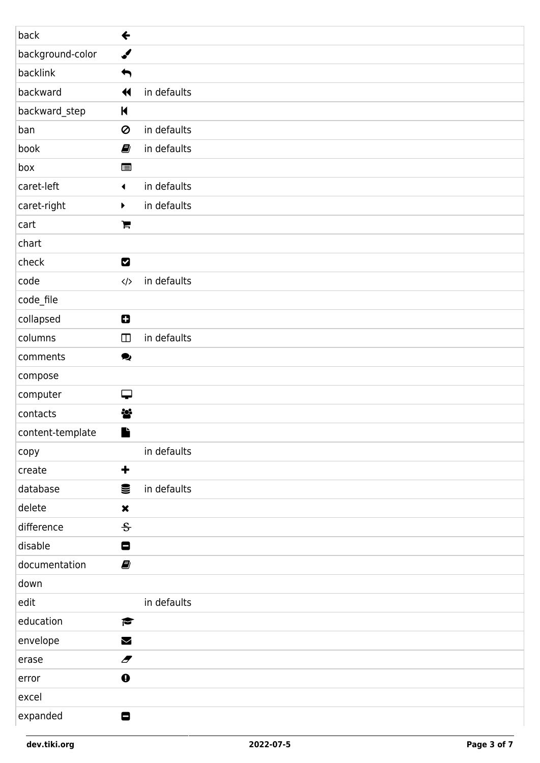| back             | $\leftarrow$             |             |
|------------------|--------------------------|-------------|
| background-color | ✔                        |             |
| backlink         | $\blacklozenge$          |             |
| backward         | $\blacktriangleleft$     | in defaults |
| backward_step    | $\blacksquare$           |             |
| ban              | Ø                        | in defaults |
| book             | Ø                        | in defaults |
| box              | ⊟                        |             |
| caret-left       | $\blacktriangleleft$     | in defaults |
| caret-right      | ▶                        | in defaults |
| cart             | $\blacksquare$           |             |
| chart            |                          |             |
| check            | Z                        |             |
| code             | $\langle/\rangle$        | in defaults |
| code_file        |                          |             |
| collapsed        | 0                        |             |
| columns          | $\hfill\Box$             | in defaults |
| comments         | $\bullet$                |             |
| compose          |                          |             |
| computer         | Q                        |             |
| contacts         | 상                        |             |
| content-template | Ľ                        |             |
| copy             |                          | in defaults |
| create           | $\ddot{\phantom{1}}$     |             |
| database         | €                        | in defaults |
| delete           | $\pmb{\times}$           |             |
| difference       | 응                        |             |
| disable          | 8                        |             |
| documentation    | Ø                        |             |
| down             |                          |             |
| edit             |                          | in defaults |
| education        | $\blacktriangleright$    |             |
| envelope         | M                        |             |
| erase            | $\overline{\mathscr{F}}$ |             |
| error            | $\bullet$                |             |
| excel            |                          |             |
| expanded         | 8                        |             |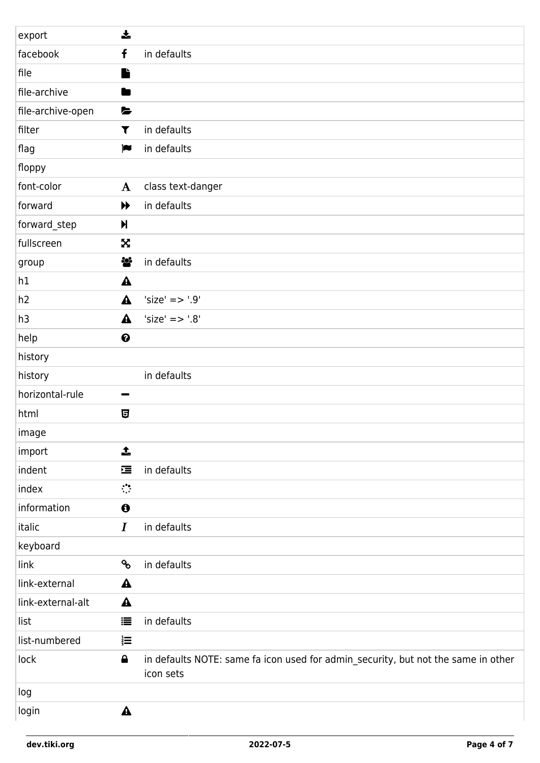| export            | $\frac{1}{2}$          |                                                                                                |
|-------------------|------------------------|------------------------------------------------------------------------------------------------|
| facebook          | f                      | in defaults                                                                                    |
| file              | L                      |                                                                                                |
| file-archive      | œ                      |                                                                                                |
| file-archive-open | $\blacktriangleright$  |                                                                                                |
| filter            | T                      | in defaults                                                                                    |
| flag              | $\blacksquare$         | in defaults                                                                                    |
| floppy            |                        |                                                                                                |
| font-color        | $\mathbf{A}$           | class text-danger                                                                              |
| forward           | ▶                      | in defaults                                                                                    |
| forward_step      | $\blacktriangleright$  |                                                                                                |
| fullscreen        | X                      |                                                                                                |
| group             | ig.                    | in defaults                                                                                    |
| h1                | $\blacktriangle$       |                                                                                                |
| h2                | $\blacktriangle$       | 'size' => '.9'                                                                                 |
| h3                | $\blacktriangle$       | $'size' => '0'$                                                                                |
| help              | $\boldsymbol{\Theta}$  |                                                                                                |
| history           |                        |                                                                                                |
| history           |                        | in defaults                                                                                    |
| horizontal-rule   | -                      |                                                                                                |
| html              | 日                      |                                                                                                |
| image             |                        |                                                                                                |
| import            | 1                      |                                                                                                |
| indent            | 彊                      | in defaults                                                                                    |
| index             | $\mathbb{C}^{\bullet}$ |                                                                                                |
| information       | $\boldsymbol{\Theta}$  |                                                                                                |
| italic            | $\bm{I}$               | in defaults                                                                                    |
| keyboard          |                        |                                                                                                |
| link              | <b>SP</b>              | in defaults                                                                                    |
| link-external     | $\blacktriangle$       |                                                                                                |
| link-external-alt | $\blacktriangle$       |                                                                                                |
| list              | 這                      | in defaults                                                                                    |
| list-numbered     | $\frac{1}{3}$          |                                                                                                |
| lock              | $\triangle$            | in defaults NOTE: same fa icon used for admin_security, but not the same in other<br>icon sets |
| log               |                        |                                                                                                |
| login             | $\blacktriangle$       |                                                                                                |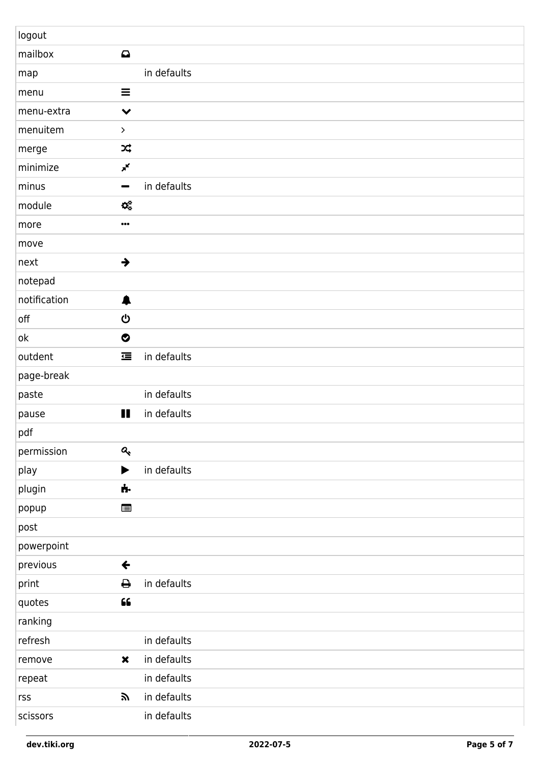| logout       |                           |             |
|--------------|---------------------------|-------------|
| mailbox      | $\mathbf \Omega$          |             |
| map          |                           | in defaults |
| menu         | $\equiv$                  |             |
| menu-extra   | $\checkmark$              |             |
| menuitem     | $\,>\,$                   |             |
| merge        | X                         |             |
| minimize     | $\mathbf{x}^{\mathbf{K}}$ |             |
| minus        | -                         | in defaults |
| module       | $\mathbf{Q}_0^0$          |             |
| more         | $\cdots$                  |             |
| move         |                           |             |
| next         | $\rightarrow$             |             |
| notepad      |                           |             |
| notification | ♠                         |             |
| off          | ტ                         |             |
| ok           | $\bullet$                 |             |
| outdent      | 彊                         | in defaults |
| page-break   |                           |             |
| paste        |                           | in defaults |
| pause        | Ш                         | in defaults |
| pdf          |                           |             |
| permission   | $\mathbf{a}_\mathrm{t}$   |             |
| play         | ▶                         | in defaults |
| plugin       | ń.                        |             |
| popup        | E                         |             |
| post         |                           |             |
| powerpoint   |                           |             |
| previous     | $\leftarrow$              |             |
| print        | ₿                         | in defaults |
| quotes       | $\textsf{G}\textsf{G}$    |             |
| ranking      |                           |             |
| refresh      |                           | in defaults |
| remove       | $\pmb{\times}$            | in defaults |
| repeat       |                           | in defaults |
| rss          | 57                        | in defaults |
| scissors     |                           | in defaults |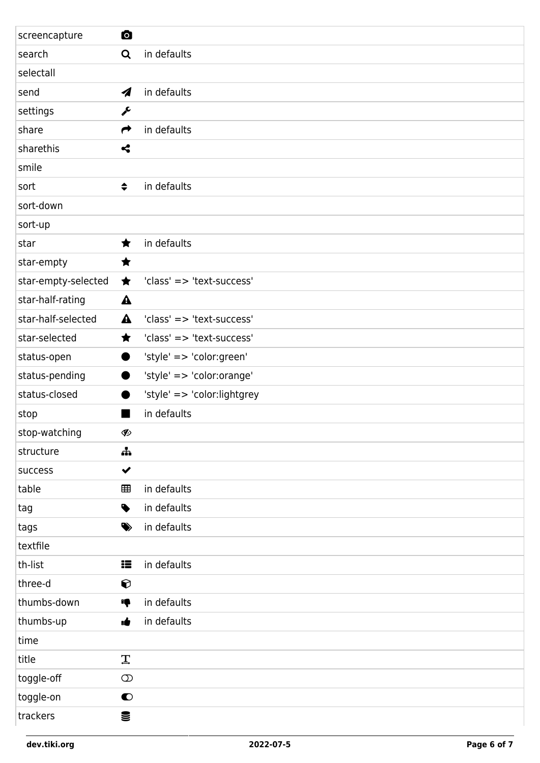| screencapture       | O                          |                             |
|---------------------|----------------------------|-----------------------------|
| search              | Q                          | in defaults                 |
| selectall           |                            |                             |
| send                | $\boldsymbol{\mathcal{A}}$ | in defaults                 |
| settings            | j                          |                             |
| share               | $\rightarrow$              | in defaults                 |
| sharethis           | $\boldsymbol{\varsigma}$   |                             |
| smile               |                            |                             |
| sort                | $\div$                     | in defaults                 |
| sort-down           |                            |                             |
| sort-up             |                            |                             |
| star                | ★                          | in defaults                 |
| star-empty          | ★                          |                             |
| star-empty-selected | ★                          | 'class' => 'text-success'   |
| star-half-rating    | $\blacktriangle$           |                             |
| star-half-selected  | $\blacktriangle$           | 'class' => 'text-success'   |
| star-selected       | ★                          | 'class' => 'text-success'   |
| status-open         |                            | 'style' => 'color:green'    |
| status-pending      |                            | 'style' => 'color:orange'   |
| status-closed       |                            | 'style' => 'color:lightgrey |
| stop                |                            | in defaults                 |
| stop-watching       | Ø                          |                             |
| structure           | 유                          |                             |
| success             | $\checkmark$               |                             |
| table               | ⊞                          | in defaults                 |
| tag                 | $\bullet$                  | in defaults                 |
| tags                | ♦                          | in defaults                 |
| textfile            |                            |                             |
| th-list             | æ                          | in defaults                 |
| three-d             | $\bullet$                  |                             |
| thumbs-down         | ą                          | in defaults                 |
| thumbs-up           | ıė                         | in defaults                 |
| time                |                            |                             |
| title               | $\mathbf{T}$               |                             |
| toggle-off          | $\circledcirc$             |                             |
| toggle-on           | $\bullet$                  |                             |
| trackers            | €                          |                             |